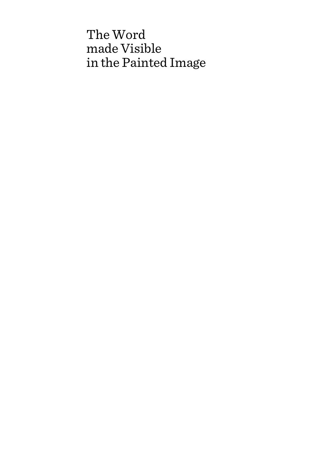# The Word made Visible in the Painted Image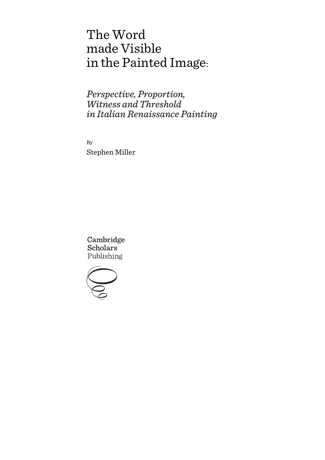# The Word made Visible in the Painted Image:

*Perspective, Proportion, Witness and Threshold in Italian Renaissance Painting*

By Stephen Miller

Cambridge **Scholars** Publishing

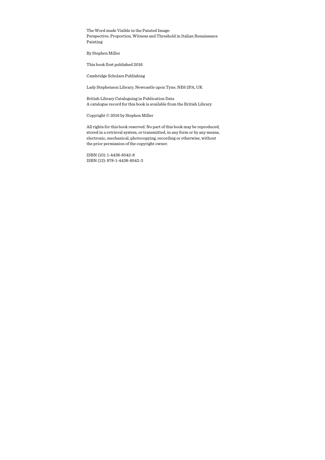The Word made Visible in the Painted Image: Perspective, Proportion, Witness and Threshold in Italian Renaissance Painting

By Stephen Miller

This book first published 2016

Cambridge Scholars Publishing

Lady Stephenson Library, Newcastle upon Tyne, NE6 2PA, UK

British Library Cataloguing in Publication Data A catalogue record for this book is available from the British Library

Copyright © 2016 by Stephen Miller

All rights for this book reserved. No part of this book may be reproduced, stored in a retrieval system, or transmitted, in any form or by any means, electronic, mechanical, photocopying, recording or otherwise, without the prior permission of the copyright owner.

ISBN (10): 1-4438-8542-8 ISBN (13): 978-1-4438-8542-3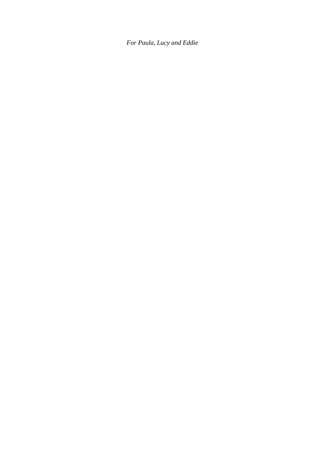*For Paula, Lucy and Eddie*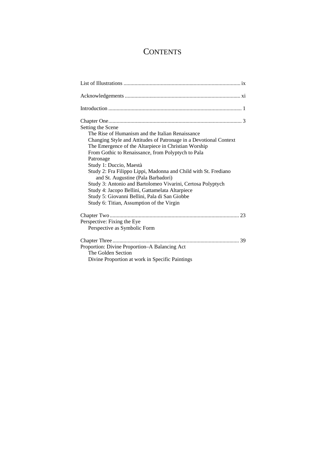# **CONTENTS**

| Setting the Scene<br>The Rise of Humanism and the Italian Renaissance<br>Changing Style and Attitudes of Patronage in a Devotional Context<br>The Emergence of the Altarpiece in Christian Worship<br>From Gothic to Renaissance, from Polyptych to Pala<br>Patronage<br>Study 1: Duccio, Maestà<br>Study 2: Fra Filippo Lippi, Madonna and Child with St. Frediano<br>and St. Augustine (Pala Barbadori)<br>Study 3: Antonio and Bartolomeo Vivarini, Certosa Polyptych<br>Study 4: Jacopo Bellini, Gattamelata Altarpiece |
|-----------------------------------------------------------------------------------------------------------------------------------------------------------------------------------------------------------------------------------------------------------------------------------------------------------------------------------------------------------------------------------------------------------------------------------------------------------------------------------------------------------------------------|
| Study 5: Giovanni Bellini, Pala di San Giobbe<br>Study 6: Titian, Assumption of the Virgin                                                                                                                                                                                                                                                                                                                                                                                                                                  |
| Perspective: Fixing the Eye<br>Perspective as Symbolic Form                                                                                                                                                                                                                                                                                                                                                                                                                                                                 |
| Proportion: Divine Proportion-A Balancing Act<br>The Golden Section<br>Divine Proportion at work in Specific Paintings                                                                                                                                                                                                                                                                                                                                                                                                      |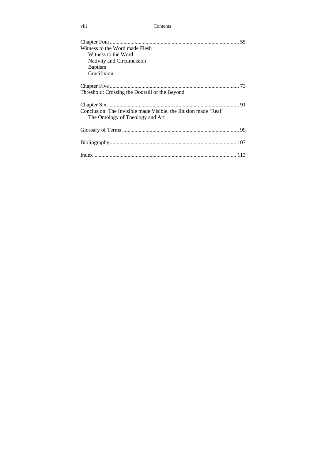| Contents |
|----------|
|          |

| Witness to the Word made Flesh<br>Witness to the Word<br>Nativity and Circumcision<br><b>Baptism</b><br>Crucifixion |  |
|---------------------------------------------------------------------------------------------------------------------|--|
| Threshold: Crossing the Doorsill of the Beyond                                                                      |  |
| Conclusion: The Invisible made Visible, the Illusion made 'Real'<br>The Ontology of Theology and Art                |  |
|                                                                                                                     |  |
|                                                                                                                     |  |
|                                                                                                                     |  |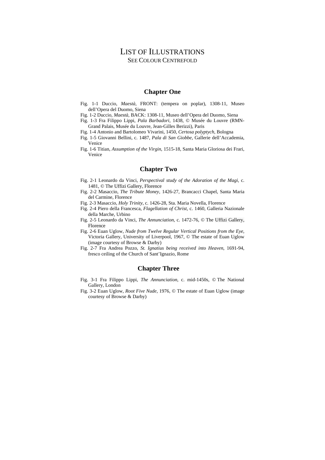## LIST OF ILLUSTRATIONS SEE COLOUR CENTREFOLD

#### **Chapter One**

- Fig. 1-1 Duccio, *Maestà,* FRONT: (tempera on poplar), 1308-11, Museo dell'Opera del Duomo, Siena
- Fig. 1-2 Duccio, *Maestà,* BACK: 1308-11, Museo dell'Opera del Duomo, Siena
- Fig. 1-3 Fra Filippo Lippi, *Pala Barbadori*, 1438, © Musée du Louvre (RMN-Grand Palais, Musée du Louvre, Jean-Gilles Berizzi), Paris
- Fig. 1-4 Antonio and Bartolomeo Vivarini, 1450, *Certosa polyptych*, Bologna
- Fig. 1-5 Giovanni Bellini, c. 1487, *Pala di San Giobbe*, Gallerie dell'Accademia, Venice
- Fig. 1-6 Titian, *Assumption of the Virgin*, 1515-18, Santa Maria Gloriosa dei Frari, Venice

## **Chapter Two**

- Fig. 2-1 Leonardo da Vinci, *Perspectival study of the Adoration of the Magi*, c. 1481, © The Uffizi Gallery, Florence
- Fig. 2-2 Masaccio, *The Tribute Money,* 1426-27, Brancacci Chapel, Santa Maria del Carmine, Florence
- Fig. 2-3 Masaccio, *Holy Trinity*, c. 1426-28, Sta. Maria Novella, Florence
- Fig. 2-4 Piero della Francesca, *Flagellation of Christ*, c. 1460, Galleria Nazionale della Marche, Urbino
- Fig. 2-5 Leonardo da Vinci, *The Annunciation,* c. 1472-76, © The Uffizi Gallery, Florence
- Fig. 2-6 Euan Uglow, *Nude from Twelve Regular Vertical Positions from the Eye*, Victoria Gallery, University of Liverpool, 1967, © The estate of Euan Uglow (image courtesy of Browse & Darby)
- Fig. 2-7 Fra Andrea Pozzo, *St. Ignatius being received into Heaven*, 1691-94, fresco ceiling of the Church of Sant'Ignazio, Rome

## **Chapter Three**

- Fig. 3-1 Fra Filippo Lippi, *The Annunciation,* c. mid-1450s, © The National Gallery, London
- Fig. 3-2 Euan Uglow, *Root Five Nude*, 1976, © The estate of Euan Uglow (image courtesy of Browse & Darby)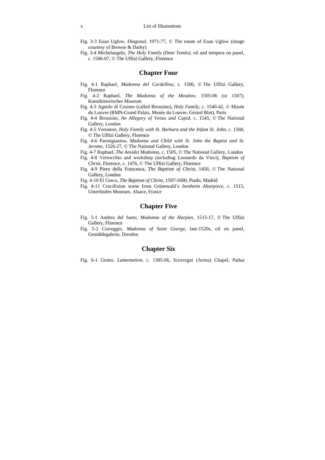- Fig. 3-3 Euan Uglow, *Diagonal*, 1971-77, © The estate of Euan Uglow (image courtesy of Browse & Darby)
- Fig. 3-4 Michelangelo, *The Holy Family (Doni Tondo),* oil and tempera on panel, c. 1506-07, © The Uffizi Gallery, Florence

## **Chapter Four**

- Fig. 4-1 Raphael, *Madonna del Cardellino,* c. 1506, © The Uffizi Gallery, Florence
- Fig. 4-2 Raphael, *The Madonna of the Meadow,* 1505-06 (or 1507), Kunsthistorisches Museum
- Fig. 4-3 Agnolo di Cosimo (called Bronzino), *Holy Family,* c. 1540-42, © Musée du Louvre (RMN-Grand Palais, Musée du Louvre, Gérard Blot), Paris
- Fig. 4-4 Bronzino, *An Allegory of Venus and Cupid*, c. 1545, © The National Gallery, London
- Fig. 4-5 Veronese, *Holy Family with St. Barbara and the Infant St. John*, c. 1560, © The Uffizi Gallery, Florence
- Fig. 4-6 Parmigianino, *Madonna and Child with St. John the Baptist and St. Jerome*, 1526-27, © The National Gallery, London
- Fig. 4-7 Raphael, *The Ansidei Madonna,* c. 1505, © The National Gallery, London
- Fig. 4-8 Verrocchio and workshop (including Leonardo da Vinci), *Baptism of Christ*, Florence, c. 1476, © The Uffizi Gallery, Florence
- Fig. 4-9 Piero della Francesca, *The Baptism of Christ*, 1450, © The National Gallery, London
- Fig. 4-10 El Greco, *The Baptism of Christ*, 1597-1600, Prado, Madrid
- Fig. 4-11 Crucifixion scene from Grünewald's *Isenheim Altarpiece,* c. 1515, Unterlinden Museum, Alsace, France

## **Chapter Five**

- Fig. 5-1 Andrea del Sarto, *Madonna of the Harpies*, 1515-17, © The Uffizi Gallery, Florence
- Fig. 5-2 Correggio, *Madonna of Saint George,* late-1520s, oil on panel, Gemäldegalerie, Dresden

## **Chapter Six**

Fig. 6-1 Giotto, *Lamentation*, c. 1305-06, Scrovegni (Arena) Chapel, Padua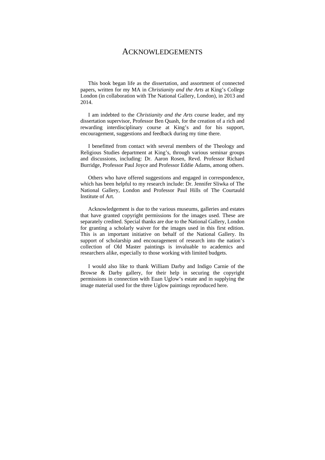## ACKNOWLEDGEMENTS

This book began life as the dissertation, and assortment of connected papers, written for my MA in *Christianity and the Arts* at King's College London (in collaboration with The National Gallery, London), in 2013 and 2014.

I am indebted to the *Christianity and the Arts* course leader, and my dissertation supervisor, Professor Ben Quash, for the creation of a rich and rewarding interdisciplinary course at King's and for his support, encouragement, suggestions and feedback during my time there.

I benefitted from contact with several members of the Theology and Religious Studies department at King's, through various seminar groups and discussions, including: Dr. Aaron Rosen, Revd. Professor Richard Burridge, Professor Paul Joyce and Professor Eddie Adams, among others.

Others who have offered suggestions and engaged in correspondence, which has been helpful to my research include: Dr. Jennifer Sliwka of The National Gallery, London and Professor Paul Hills of The Courtauld Institute of Art.

Acknowledgement is due to the various museums, galleries and estates that have granted copyright permissions for the images used. These are separately credited. Special thanks are due to the National Gallery, London for granting a scholarly waiver for the images used in this first edition. This is an important initiative on behalf of the National Gallery. Its support of scholarship and encouragement of research into the nation's collection of Old Master paintings is invaluable to academics and researchers alike, especially to those working with limited budgets.

I would also like to thank William Darby and Indigo Carnie of the Browse & Darby gallery, for their help in securing the copyright permissions in connection with Euan Uglow's estate and in supplying the image material used for the three Uglow paintings reproduced here.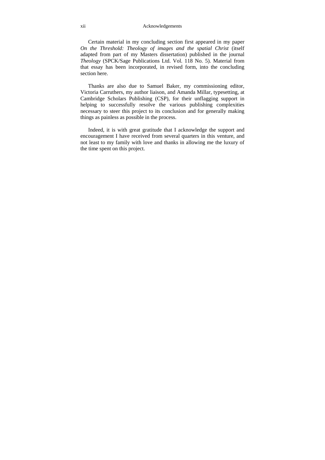Certain material in my concluding section first appeared in my paper *On the Threshold: Theology of images and the spatial Christ* (itself adapted from part of my Masters dissertation) published in the journal *Theology* (SPCK/Sage Publications Ltd. Vol. 118 No. 5). Material from that essay has been incorporated, in revised form, into the concluding section here.

Thanks are also due to Samuel Baker, my commissioning editor, Victoria Carruthers, my author liaison, and Amanda Millar, typesetting, at Cambridge Scholars Publishing (CSP), for their unflagging support in helping to successfully resolve the various publishing complexities necessary to steer this project to its conclusion and for generally making things as painless as possible in the process.

Indeed, it is with great gratitude that I acknowledge the support and encouragement I have received from several quarters in this venture, and not least to my family with love and thanks in allowing me the luxury of the time spent on this project.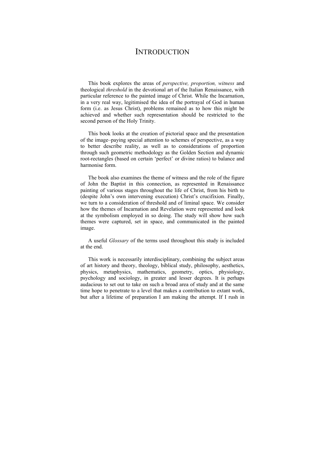## **INTRODUCTION**

This book explores the areas of *perspective, proportion, witness* and theological *threshold* in the devotional art of the Italian Renaissance, with particular reference to the painted image of Christ. While the Incarnation, in a very real way, legitimised the idea of the portrayal of God in human form (i.e. as Jesus Christ), problems remained as to how this might be achieved and whether such representation should be restricted to the second person of the Holy Trinity.

This book looks at the creation of pictorial space and the presentation of the image–paying special attention to schemes of perspective, as a way to better describe reality, as well as to considerations of proportion through such geometric methodology as the Golden Section and dynamic root-rectangles (based on certain 'perfect' or divine ratios) to balance and harmonise form.

The book also examines the theme of witness and the role of the figure of John the Baptist in this connection, as represented in Renaissance painting of various stages throughout the life of Christ, from his birth to (despite John's own intervening execution) Christ's crucifixion. Finally, we turn to a consideration of threshold and of liminal space. We consider how the themes of Incarnation and Revelation were represented and look at the symbolism employed in so doing. The study will show how such themes were captured, set in space, and communicated in the painted image.

A useful *Glossary* of the terms used throughout this study is included at the end.

This work is necessarily interdisciplinary, combining the subject areas of art history and theory, theology, biblical study, philosophy, aesthetics, physics, metaphysics, mathematics, geometry, optics, physiology, psychology and sociology, in greater and lesser degrees. It is perhaps audacious to set out to take on such a broad area of study and at the same time hope to penetrate to a level that makes a contribution to extant work, but after a lifetime of preparation I am making the attempt. If I rush in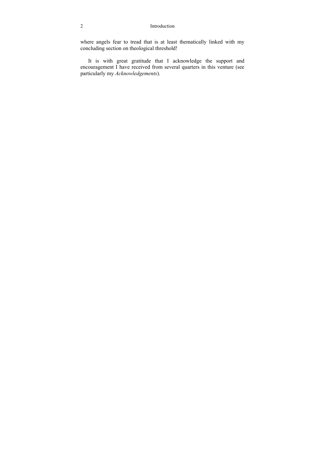#### 2 Introduction

where angels fear to tread that is at least thematically linked with my concluding section on theological threshold!

It is with great gratitude that I acknowledge the support and encouragement I have received from several quarters in this venture (see particularly my *Acknowledgements*).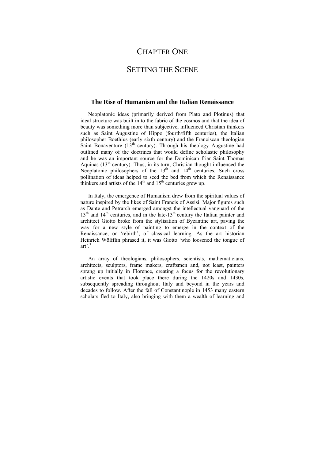## CHAPTER ONE

## SETTING THE SCENE

## **The Rise of Humanism and the Italian Renaissance**

Neoplatonic ideas (primarily derived from Plato and Plotinus) that ideal structure was built in to the fabric of the cosmos and that the idea of beauty was something more than subjective, influenced Christian thinkers such as Saint Augustine of Hippo (fourth/fifth centuries), the Italian philosopher Boethius (early sixth century) and the Franciscan theologian Saint Bonaventure  $(13<sup>th</sup>$  century). Through his theology Augustine had outlined many of the doctrines that would define scholastic philosophy and he was an important source for the Dominican friar Saint Thomas Aquinas  $(13<sup>th</sup>$  century). Thus, in its turn, Christian thought influenced the Neoplatonic philosophers of the  $13<sup>th</sup>$  and  $14<sup>th</sup>$  centuries. Such cross pollination of ideas helped to seed the bed from which the Renaissance thinkers and artists of the  $14<sup>th</sup>$  and  $15<sup>th</sup>$  centuries grew up.

In Italy, the emergence of Humanism drew from the spiritual values of nature inspired by the likes of Saint Francis of Assisi. Major figures such as Dante and Petrarch emerged amongst the intellectual vanguard of the  $13<sup>th</sup>$  and  $14<sup>th</sup>$  centuries, and in the late-13<sup>th</sup> century the Italian painter and architect Giotto broke from the stylisation of Byzantine art, paving the way for a new style of painting to emerge in the context of the Renaissance, or 'rebirth', of classical learning. As the art historian Heinrich Wölfflin phrased it, it was Giotto 'who loosened the tongue of art<sup> $, 1$ </sup>

An array of theologians, philosophers, scientists, mathematicians, architects, sculptors, frame makers, craftsmen and, not least, painters sprang up initially in Florence, creating a focus for the revolutionary artistic events that took place there during the 1420s and 1430s, subsequently spreading throughout Italy and beyond in the years and decades to follow. After the fall of Constantinople in 1453 many eastern scholars fled to Italy, also bringing with them a wealth of learning and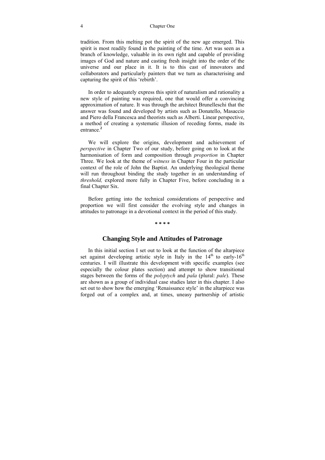#### 4 Chapter One

tradition. From this melting pot the spirit of the new age emerged. This spirit is most readily found in the painting of the time. Art was seen as a branch of knowledge, valuable in its own right and capable of providing images of God and nature and casting fresh insight into the order of the universe and our place in it. It is to this cast of innovators and collaborators and particularly painters that we turn as characterising and capturing the spirit of this 'rebirth'.

In order to adequately express this spirit of naturalism and rationality a new style of painting was required, one that would offer a convincing approximation of nature. It was through the architect Brunelleschi that the answer was found and developed by artists such as Donatello, Masaccio and Piero della Francesca and theorists such as Alberti. Linear perspective, a method of creating a systematic illusion of receding forms, made its entrance.**<sup>2</sup>**

We will explore the origins, development and achievement of *perspective* in Chapter Two of our study, before going on to look at the harmonisation of form and composition through *proportion* in Chapter Three. We look at the theme of *witness* in Chapter Four in the particular context of the role of John the Baptist. An underlying theological theme will run throughout binding the study together in an understanding of *threshold,* explored more fully in Chapter Five, before concluding in a final Chapter Six.

Before getting into the technical considerations of perspective and proportion we will first consider the evolving style and changes in attitudes to patronage in a devotional context in the period of this study.

**\* \* \* \*** 

## **Changing Style and Attitudes of Patronage**

In this initial section I set out to look at the function of the altarpiece set against developing artistic style in Italy in the  $14<sup>th</sup>$  to early- $16<sup>th</sup>$ centuries. I will illustrate this development with specific examples (see especially the colour plates section) and attempt to show transitional stages between the forms of the *polyptych* and *pala* (plural: *pale*). These are shown as a group of individual case studies later in this chapter. I also set out to show how the emerging 'Renaissance style' in the altarpiece was forged out of a complex and, at times, uneasy partnership of artistic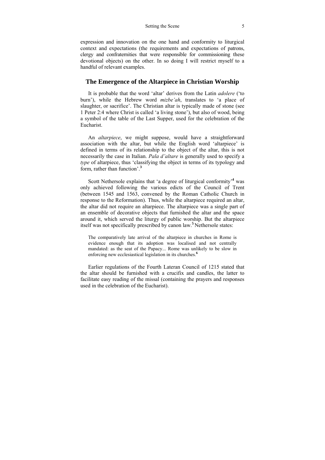expression and innovation on the one hand and conformity to liturgical context and expectations (the requirements and expectations of patrons, clergy and confraternities that were responsible for commissioning these devotional objects) on the other. In so doing I will restrict myself to a handful of relevant examples.

## **The Emergence of the Altarpiece in Christian Worship**

It is probable that the word 'altar' derives from the Latin *adolere* ('to burn'), while the Hebrew word *mizbe'ah*, translates to 'a place of slaughter, or sacrifice'. The Christian altar is typically made of stone (see 1 Peter 2:4 where Christ is called 'a living stone'), but also of wood, being a symbol of the table of the Last Supper, used for the celebration of the Eucharist.

An *altarpiece*, we might suppose, would have a straightforward association with the altar, but while the English word 'altarpiece' is defined in terms of its relationship to the object of the altar, this is not necessarily the case in Italian. *Pala d'altare* is generally used to specify a *type* of altarpiece, thus 'classifying the object in terms of its typology and form, rather than function'.**<sup>3</sup>**

Scott Nethersole explains that 'a degree of liturgical conformity'**<sup>4</sup>** was only achieved following the various edicts of the Council of Trent (between 1545 and 1563, convened by the Roman Catholic Church in response to the Reformation). Thus, while the altarpiece required an altar, the altar did not require an altarpiece. The altarpiece was a single part of an ensemble of decorative objects that furnished the altar and the space around it, which served the liturgy of public worship. But the altarpiece itself was not specifically prescribed by canon law.<sup>5</sup>Nethersole states:

The comparatively late arrival of the altarpiece in churches in Rome is evidence enough that its adoption was localised and not centrally mandated: as the seat of the Papacy... Rome was unlikely to be slow in enforcing new ecclesiastical legislation in its churches.**<sup>6</sup>**

Earlier regulations of the Fourth Lateran Council of 1215 stated that the altar should be furnished with a crucifix and candles, the latter to facilitate easy reading of the missal (containing the prayers and responses used in the celebration of the Eucharist).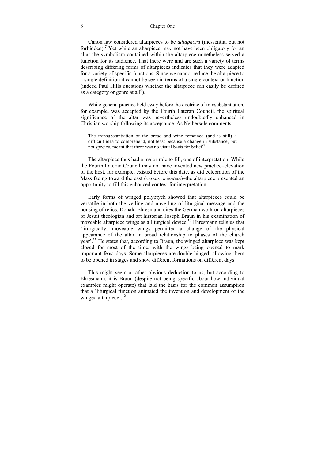#### 6 Chapter One

Canon law considered altarpieces to be *adiaphora* (inessential but not forbidden).**<sup>7</sup>** Yet while an altarpiece may not have been obligatory for an altar the symbolism contained within the altarpiece nonetheless served a function for its audience. That there were and are such a variety of terms describing differing forms of altarpieces indicates that they were adapted for a variety of specific functions. Since we cannot reduce the altarpiece to a single definition it cannot be seen in terms of a single context or function (indeed Paul Hills questions whether the altarpiece can easily be defined as a category or genre at all**<sup>8</sup>** ).

While general practice held sway before the doctrine of transubstantiation, for example, was accepted by the Fourth Lateran Council, the spiritual significance of the altar was nevertheless undoubtedly enhanced in Christian worship following its acceptance. As Nethersole comments:

The transubstantiation of the bread and wine remained (and is still) a difficult idea to comprehend, not least because a change in substance, but not species, meant that there was no visual basis for belief.**<sup>9</sup>**

The altarpiece thus had a major role to fill, one of interpretation. While the Fourth Lateran Council may not have invented new practice–elevation of the host, for example, existed before this date, as did celebration of the Mass facing toward the east (*versus orientem*)–the altarpiece presented an opportunity to fill this enhanced context for interpretation.

Early forms of winged polyptych showed that altarpieces could be versatile in both the veiling and unveiling of liturgical message and the housing of relics. Donald Ehresmann cites the German work on altarpieces of Jesuit theologian and art historian Joseph Braun in his examination of moveable altarpiece wings as a liturgical device.**<sup>10</sup>** Ehresmann tells us that 'liturgically, moveable wings permitted a change of the physical appearance of the altar in broad relationship to phases of the church year'.**<sup>11</sup>** He states that, according to Braun, the winged altarpiece was kept closed for most of the time, with the wings being opened to mark important feast days. Some altarpieces are double hinged, allowing them to be opened in stages and show different formations on different days.

This might seem a rather obvious deduction to us, but according to Ehresmann, it is Braun (despite not being specific about how individual examples might operate) that laid the basis for the common assumption that a 'liturgical function animated the invention and development of the winged altarpiece'.**<sup>12</sup>**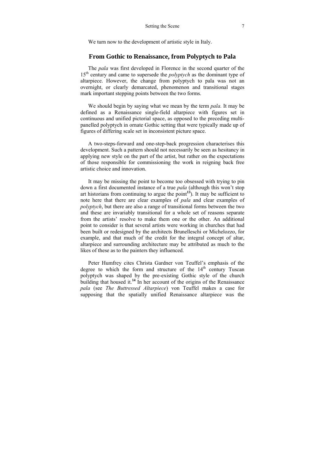We turn now to the development of artistic style in Italy.

## **From Gothic to Renaissance, from Polyptych to Pala**

The *pala* was first developed in Florence in the second quarter of the 15<sup>th</sup> century and came to supersede the *polyptych* as the dominant type of altarpiece. However, the change from polyptych to pala was not an overnight, or clearly demarcated, phenomenon and transitional stages mark important stepping points between the two forms.

We should begin by saying what we mean by the term *pala.* It may be defined as a Renaissance single-field altarpiece with figures set in continuous and unified pictorial space, as opposed to the preceding multipanelled polyptych in ornate Gothic setting that were typically made up of figures of differing scale set in inconsistent picture space.

A two-steps-forward and one-step-back progression characterises this development. Such a pattern should not necessarily be seen as hesitancy in applying new style on the part of the artist, but rather on the expectations of those responsible for commissioning the work in reigning back free artistic choice and innovation.

It may be missing the point to become too obsessed with trying to pin down a first documented instance of a true *pala* (although this won't stop art historians from continuing to argue the point<sup>13</sup>). It may be sufficient to note here that there are clear examples of *pala* and clear examples of *polyptych*, but there are also a range of transitional forms between the two and these are invariably transitional for a whole set of reasons separate from the artists' resolve to make them one or the other. An additional point to consider is that several artists were working in churches that had been built or redesigned by the architects Brunelleschi or Michelozzo, for example, and that much of the credit for the integral concept of altar, altarpiece and surrounding architecture may be attributed as much to the likes of these as to the painters they influenced.

Peter Humfrey cites Christa Gardner von Teuffel's emphasis of the degree to which the form and structure of the  $14<sup>th</sup>$  century Tuscan polyptych was shaped by the pre-existing Gothic style of the church building that housed it.<sup>14</sup> In her account of the origins of the Renaissance *pala* (see *The Buttressed Altarpiece*) von Teuffel makes a case for supposing that the spatially unified Renaissance altarpiece was the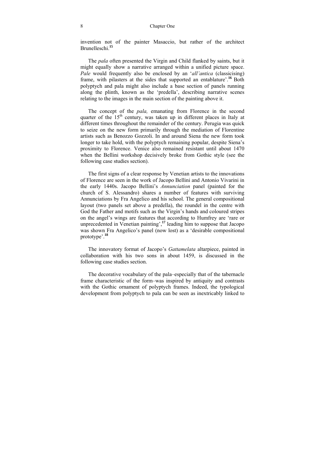#### 8 Chapter One

invention not of the painter Masaccio, but rather of the architect Brunelleschi.**<sup>15</sup>**

The *pala* often presented the Virgin and Child flanked by saints, but it might equally show a narrative arranged within a unified picture space. *Pale* would frequently also be enclosed by an '*all'antica* (classicising) frame, with pilasters at the sides that supported an entablature'.<sup>16</sup> Both polyptych and pala might also include a base section of panels running along the plinth, known as the 'predella', describing narrative scenes relating to the images in the main section of the painting above it.

The concept of the *pala,* emanating from Florence in the second quarter of the  $15<sup>th</sup>$  century, was taken up in different places in Italy at different times throughout the remainder of the century. Perugia was quick to seize on the new form primarily through the mediation of Florentine artists such as Benozzo Gozzoli. In and around Siena the new form took longer to take hold, with the polyptych remaining popular, despite Siena's proximity to Florence. Venice also remained resistant until about 1470 when the Bellini workshop decisively broke from Gothic style (see the following case studies section).

The first signs of a clear response by Venetian artists to the innovations of Florence are seen in the work of Jacopo Bellini and Antonio Vivarini in the early 1440s. Jacopo Bellini's *Annunciation* panel (painted for the church of S. Alessandro) shares a number of features with surviving Annunciations by Fra Angelico and his school. The general compositional layout (two panels set above a predella), the roundel in the centre with God the Father and motifs such as the Virgin's hands and coloured stripes on the angel's wings are features that according to Humfrey are 'rare or unprecedented in Venetian painting',**<sup>17</sup>** leading him to suppose that Jacopo was shown Fra Angelico's panel (now lost) as a 'desirable compositional prototype'.**<sup>18</sup>**

The innovatory format of Jacopo's *Gattamelata* altarpiece, painted in collaboration with his two sons in about 1459, is discussed in the following case studies section.

The decorative vocabulary of the pala–especially that of the tabernacle frame characteristic of the form–was inspired by antiquity and contrasts with the Gothic ornament of polyptych frames. Indeed, the typological development from polyptych to pala can be seen as inextricably linked to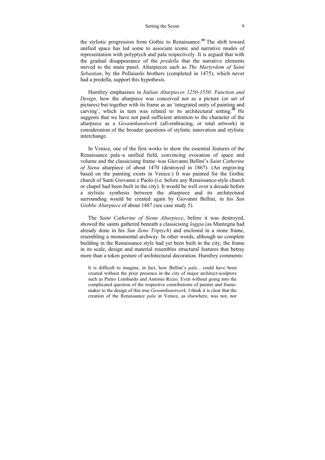#### Setting the Scene 9

the stylistic progression from Gothic to Renaissance.**<sup>19</sup>**The shift toward unified space has led some to associate iconic and narrative modes of representation with polyptych and pala respectively. It is argued that with the gradual disappearance of the *predella* that the narrative elements moved to the main panel. Altarpieces such as *The Martyrdom of Saint Sebastian*, by the Pollaiuolo brothers (completed in 1475), which never had a predella, support this hypothesis.

Humfrey emphasises in *Italian Altarpieces 1250-1550: Function and Design,* how the altarpiece was conceived not as a picture (or set of pictures) but together with its frame as an 'integrated unity of painting and carving', which in turn was related to its architectural setting.<sup>20</sup> He suggests that we have not paid sufficient attention to the character of the altarpiece as a *Gesamtkunstwerk* (all-embracing, or total artwork) in consideration of the broader questions of stylistic innovation and stylistic interchange.

In Venice, one of the first works to show the essential features of the Renaissance pala–a unified field, convincing evocation of space and volume and the classicising frame–was Giovanni Bellini's *Saint Catherine of Siena* altarpiece of about 1470 (destroyed in 1867). (An engraving based on the painting exists in Venice.) It was painted for the Gothic church of Santi Giovanni e Paolo (i.e. before any Renaissance-style church or chapel had been built in the city). It would be well over a decade before a stylistic synthesis between the altarpiece and its architectural surrounding would be created again by Giovanni Bellini, in his *San Giobbe Altarpiece* of about 1487 (see case study 5).

The *Saint Catherine of Siena Altarpiece*, before it was destroyed, showed the saints gathered beneath a classicising *loggia* (as Mantegna had already done in his *San Zeno Triptych*) and enclosed in a stone frame, resembling a monumental archway. In other words, although no complete building in the Renaissance style had yet been built in the city, the frame in its scale, design and material resembles structural features that betray more than a token gesture of architectural decoration. Humfrey comments:

It is difficult to imagine, in fact, how Bellini's *pala.*.. could have been created without the prior presence in the city of major architect-sculptors such as Pietro Lombardo and Antonio Rizzo. Even without going into the complicated question of the respective contributions of painter and framemaker to the design of this true *Gesamtkunstwerk*, I think it is clear that the creation of the Renaissance *pala* in Venice, as elsewhere, was not, nor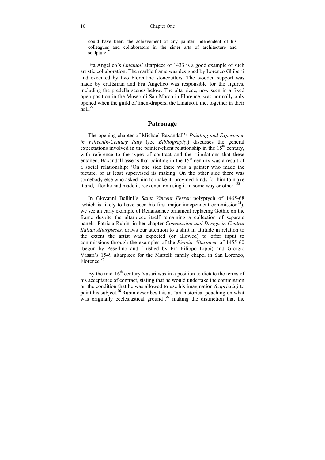could have been, the achievement of any painter independent of his colleagues and collaborators in the sister arts of architecture and sculpture.**<sup>21</sup>**

Fra Angelico's *Linaiuoli* altarpiece of 1433 is a good example of such artistic collaboration. The marble frame was designed by Lorenzo Ghiberti and executed by two Florentine stonecutters. The wooden support was made by craftsman and Fra Angelico was responsible for the figures, including the predella scenes below. The altarpiece, now seen in a fixed open position in the Museo di San Marco in Florence, was normally only opened when the guild of linen-drapers, the Linaiuoli, met together in their hall.**<sup>22</sup>**

## **Patronage**

The opening chapter of Michael Baxandall's *Painting and Experience in Fifteenth-Century Italy* (see *Bibliography*) discusses the general expectations involved in the painter-client relationship in the  $15<sup>th</sup>$  century. with reference to the types of contract and the stipulations that these entailed. Baxandall asserts that painting in the  $15<sup>th</sup>$  century was a result of a social relationship: 'On one side there was a painter who made the picture, or at least supervised its making. On the other side there was somebody else who asked him to make it, provided funds for him to make it and, after he had made it, reckoned on using it in some way or other.'**<sup>23</sup>**

In Giovanni Bellini's *Saint Vincent Ferrer* polyptych of 1465-68 (which is likely to have been his first major independent commission**<sup>24</sup>**), we see an early example of Renaissance ornament replacing Gothic on the frame despite the altarpiece itself remaining a collection of separate panels. Patricia Rubin, in her chapter *Commission and Design in Central Italian Altarpieces,* draws our attention to a shift in attitude in relation to the extent the artist was expected (or allowed) to offer input to commissions through the examples of the *Pistoia Altarpiece* of 1455-60 (begun by Pesellino and finished by Fra Filippo Lippi) and Giorgio Vasari's 1549 altarpiece for the Martelli family chapel in San Lorenzo, Florence.**<sup>25</sup>**

By the mid-16<sup>th</sup> century Vasari was in a position to dictate the terms of his acceptance of contract, stating that he would undertake the commission on the condition that he was allowed to use his imagination *(capriccio)* to paint his subject.**<sup>26</sup>**Rubin describes this as 'art-historical poaching on what was originally ecclesiastical ground',**<sup>27</sup>** making the distinction that the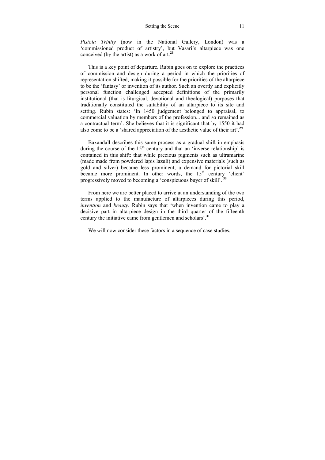*Pistoia Trinity* (now in the National Gallery, London) was a 'commissioned product of artistry', but Vasari's altarpiece was one conceived (by the artist) as a work of art.**<sup>28</sup>**

This is a key point of departure. Rubin goes on to explore the practices of commission and design during a period in which the priorities of representation shifted, making it possible for the priorities of the altarpiece to be the 'fantasy' or invention of its author. Such an overtly and explicitly personal function challenged accepted definitions of the primarily institutional (that is liturgical, devotional and theological) purposes that traditionally constituted the suitability of an altarpiece to its site and setting. Rubin states: 'In 1450 judgement belonged to appraisal, to commercial valuation by members of the profession... and so remained as a contractual term'. She believes that it is significant that by 1550 it had also come to be a 'shared appreciation of the aesthetic value of their art'.**<sup>29</sup>**

Baxandall describes this same process as a gradual shift in emphasis during the course of the  $15<sup>th</sup>$  century and that an 'inverse relationship' is contained in this shift: that while precious pigments such as ultramarine (made made from powdered lapis lazuli) and expensive materials (such as gold and silver) became less prominent, a demand for pictorial skill became more prominent. In other words, the  $15<sup>th</sup>$  century 'client' progressively moved to becoming a 'conspicuous buyer of skill'.**<sup>30</sup>**

From here we are better placed to arrive at an understanding of the two terms applied to the manufacture of altarpieces during this period, *invention* and *beauty.* Rubin says that 'when invention came to play a decisive part in altarpiece design in the third quarter of the fifteenth century the initiative came from gentlemen and scholars'.**<sup>31</sup>**

We will now consider these factors in a sequence of case studies.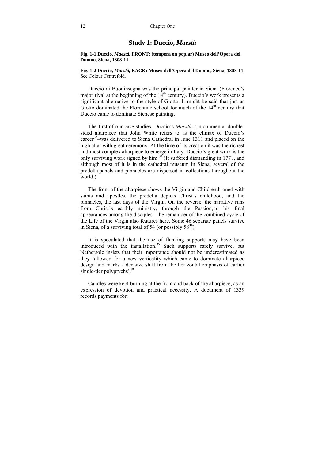## **Study 1: Duccio,** *Maestà*

#### **Fig. 1-1 Duccio,** *Maestà,* **FRONT: (tempera on poplar) Museo dell'Opera del Duomo, Siena, 1308-11**

#### **Fig. 1-2 Duccio,** *Maestà,* **BACK: Museo dell'Opera del Duomo, Siena, 1308-11**  See Colour Centrefold.

Duccio di Buoninsegna was the principal painter in Siena (Florence's major rival at the beginning of the  $14<sup>th</sup>$  century). Duccio's work presents a significant alternative to the style of Giotto. It might be said that just as Giotto dominated the Florentine school for much of the  $14<sup>th</sup>$  century that Duccio came to dominate Sienese painting.

The first of our case studies, Duccio's *Maestà–*a monumental doublesided altarpiece that John White refers to as the climax of Duccio's career**<sup>32</sup>**–was delivered to Siena Cathedral in June 1311 and placed on the high altar with great ceremony. At the time of its creation it was the richest and most complex altarpiece to emerge in Italy. Duccio's great work is the only surviving work signed by him.**<sup>33</sup>** (It suffered dismantling in 1771, and although most of it is in the cathedral museum in Siena, several of the predella panels and pinnacles are dispersed in collections throughout the world.)

The front of the altarpiece shows the Virgin and Child enthroned with saints and apostles, the predella depicts Christ's childhood, and the pinnacles, the last days of the Virgin. On the reverse, the narrative runs from Christ's earthly ministry, through the Passion, to his final appearances among the disciples. The remainder of the combined cycle of the Life of the Virgin also features here. Some 46 separate panels survive in Siena, of a surviving total of 54 (or possibly 58**<sup>34</sup>**).

It is speculated that the use of flanking supports may have been introduced with the installation.**<sup>35</sup>** Such supports rarely survive, but Nethersole insists that their importance should not be underestimated as they 'allowed for a new verticality which came to dominate altarpiece design and marks a decisive shift from the horizontal emphasis of earlier single-tier polyptychs'.**<sup>36</sup>**

Candles were kept burning at the front and back of the altarpiece, as an expression of devotion and practical necessity. A document of 1339 records payments for: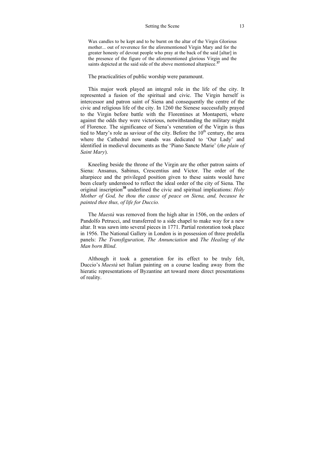#### Setting the Scene 13

Wax candles to be kept and to be burnt on the altar of the Virgin Glorious mother... out of reverence for the aforementioned Virgin Mary and for the greater honesty of devout people who pray at the back of the said [altar] in the presence of the figure of the aforementioned glorious Virgin and the saints depicted at the said side of the above mentioned altarpiece.**<sup>37</sup>**

The practicalities of public worship were paramount.

This major work played an integral role in the life of the city. It represented a fusion of the spiritual and civic. The Virgin herself is intercessor and patron saint of Siena and consequently the centre of the civic and religious life of the city. In 1260 the Sienese successfully prayed to the Virgin before battle with the Florentines at Montaperti, where against the odds they were victorious, notwithstanding the military might of Florence. The significance of Siena's veneration of the Virgin is thus tied to Mary's role as saviour of the city. Before the  $10<sup>th</sup>$  century, the area where the Cathedral now stands was dedicated to 'Our Lady' and identified in medieval documents as the 'Piano Sancte Marie' (*the plain of Saint Mary*).

Kneeling beside the throne of the Virgin are the other patron saints of Siena: Ansanus, Sabinus, Crescentius and Victor. The order of the altarpiece and the privileged position given to these saints would have been clearly understood to reflect the ideal order of the city of Siena. The original inscription**<sup>38</sup>**underlined the civic and spiritual implications: *Holy Mother of God, be thou the cause of peace on Siena, and, because he painted thee thus, of life for Duccio.* 

The *Maestà* was removed from the high altar in 1506, on the orders of Pandolfo Petrucci, and transferred to a side chapel to make way for a new altar. It was sawn into several pieces in 1771. Partial restoration took place in 1956. The National Gallery in London is in possession of three predella panels: *The Transfiguration, The Annunciation* and *The Healing of the Man born Blind*.

Although it took a generation for its effect to be truly felt, Duccio's *Maestà* set Italian painting on a course leading away from the hieratic representations of Byzantine art toward more direct presentations of reality.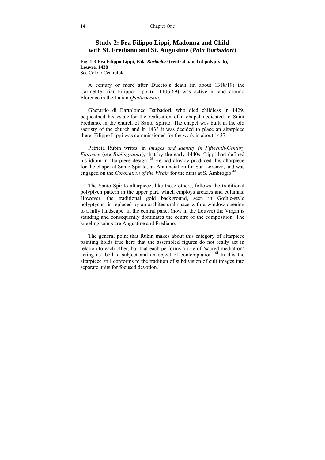## **Study 2: Fra Filippo Lippi, Madonna and Child with St. Frediano and St. Augustine (***Pala Barbadori***)**

#### **Fig. 1-3 Fra Filippo Lippi,** *Pala Barbadori* **(central panel of polyptych), Louvre, 1438**

See Colour Centrefold.

A century or more after Duccio's death (in about 1318/19) the Carmelite friar Filippo Lippi (c. 1406-69) was active in and around Florence in the Italian *Quattrocento*.

Gherardo di Bartolomeo Barbadori, who died childless in 1429, bequeathed his estate for the realisation of a chapel dedicated to Saint Frediano, in the church of Santo Spirito. The chapel was built in the old sacristy of the church and in 1433 it was decided to place an altarpiece there. Filippo Lippi was commissioned for the work in about 1437.

Patricia Rubin writes, in *Images and Identity in Fifteenth-Century Florence* (see *Bibliography*), that by the early 1440s 'Lippi had defined his idiom in altarpiece design'.<sup>39</sup> He had already produced this altarpiece for the chapel at Santo Spirito, an Annunciation for San Lorenzo, and was engaged on the *Coronation of the Virgin* for the nuns at S. Ambrogio.**<sup>40</sup>**

The Santo Spirito altarpiece, like these others, follows the traditional polyptych pattern in the upper part, which employs arcades and columns. However, the traditional gold background, seen in Gothic-style polyptychs, is replaced by an architectural space with a window opening to a hilly landscape. In the central panel (now in the Louvre) the Virgin is standing and consequently dominates the centre of the composition. The kneeling saints are Augustine and Frediano.

The general point that Rubin makes about this category of altarpiece painting holds true here that the assembled figures do not really act in relation to each other, but that each performs a role of 'sacred mediation' acting as 'both a subject and an object of contemplation'.**<sup>41</sup>**In this the altarpiece still conforms to the tradition of subdivision of cult images into separate units for focused devotion.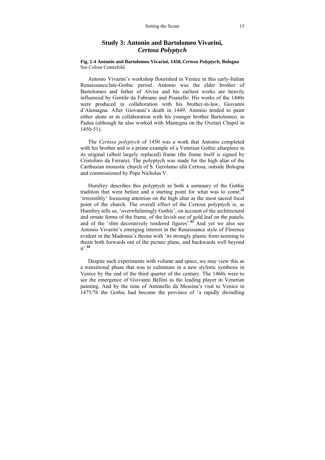## **Study 3: Antonio and Bartolomeo Vivarini,**  *Certosa Polyptych*

**Fig. 1-4 Antonio and Bartolomeo Vivarini, 1450,** *Certosa Polyptych***, Bologna**  See Colour Centrefold.

Antonio Vivarini's workshop flourished in Venice in this early-Italian Renaissance/late-Gothic period. Antonio was the elder brother of Bartolomeo and father of Alvise and his earliest works are heavily influenced by Gentile da Fabriano and Pisanello. His works of the 1440s were produced in collaboration with his brother-in-law, Giovanni d'Alemagna. After Giovanni's death in 1449, Antonio tended to paint either alone or in collaboration with his younger brother Bartolomeo, in Padua (although he also worked with Mantegna on the Ovetari Chapel in 1450-51).

The *Certosa polyptych* of 1450 was a work that Antonio completed with his brother and is a prime example of a Venetian Gothic altarpiece in its original (albeit largely replaced) frame (the frame itself is signed by Cristoforo da Ferrara). The polyptych was made for the high altar of the Carthusian monastic church of S. Gerolamo alla Certosa, outside Bologna and commissioned by Pope Nicholas V.

Humfrey describes this polyptych as both a summary of the Gothic tradition that went before and a starting point for what was to come,**<sup>42</sup>** 'irresistibly' focussing attention on the high altar as the most sacred focal point of the church. The overall effect of the Certosa polyptych is, as Humfrey tells us, 'overwhelmingly Gothic', on account of the architectural and ornate forms of the frame, of the lavish use of gold leaf on the panels, and of the 'slim decoratively rendered figures'.**<sup>43</sup>** And yet we also see Antonio Vivarini's emerging interest in the Renaissance style of Florence evident in the Madonna's throne with 'its strongly plastic form seeming to thrust both forwards out of the picture plane, and backwards well beyond  $it'$ <sup>44</sup>

Despite such experiments with volume and space, we may view this as a transitional phase that was to culminate in a new stylistic synthesis in Venice by the end of the third quarter of the century. The 1460s were to see the emergence of Giovanni Bellini as the leading player in Venetian painting. And by the time of Antonello da Messina's visit to Venice in 1475/76 the Gothic had become the province of 'a rapidly dwindling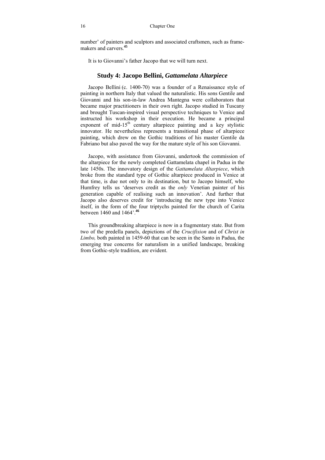number' of painters and sculptors and associated craftsmen, such as framemakers and carvers.**<sup>45</sup>**

It is to Giovanni's father Jacopo that we will turn next.

## **Study 4: Jacopo Bellini,** *Gattamelata Altarpiece*

Jacopo Bellini (c. 1400-70) was a founder of a Renaissance style of painting in northern Italy that valued the naturalistic. His sons Gentile and Giovanni and his son-in-law Andrea Mantegna were collaborators that became major practitioners in their own right. Jacopo studied in Tuscany and brought Tuscan-inspired visual perspective techniques to Venice and instructed his workshop in their execution. He became a principal exponent of mid-15<sup>th</sup> century altarpiece painting and a key stylistic innovator. He nevertheless represents a transitional phase of altarpiece painting, which drew on the Gothic traditions of his master Gentile da Fabriano but also paved the way for the mature style of his son Giovanni.

Jacopo, with assistance from Giovanni, undertook the commission of the altarpiece for the newly completed Gattamelata chapel in Padua in the late 1450s. The innovatory design of the *Gattamelata Altarpiece*, which broke from the standard type of Gothic altarpiece produced in Venice at that time, is due not only to its destination, but to Jacopo himself, who Humfrey tells us 'deserves credit as the *only* Venetian painter of his generation capable of realising such an innovation'. And further that Jacopo also deserves credit for 'introducing the new type into Venice itself, in the form of the four triptychs painted for the church of Carita between 1460 and 1464'.**<sup>46</sup>**

This groundbreaking altarpiece is now in a fragmentary state. But from two of the predella panels, depictions of the *Crucifixion* and of *Christ in Limbo,* both painted in 1459-60 that can be seen in the Santo in Padua, the emerging true concerns for naturalism in a unified landscape, breaking from Gothic-style tradition, are evident.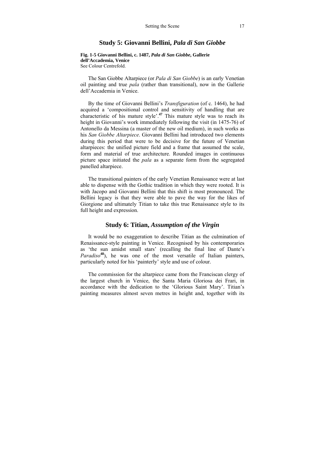## **Study 5: Giovanni Bellini,** *Pala di San Giobbe*

**Fig. 1-5 Giovanni Bellini, c. 1487,** *Pala di San Giobbe***, Gallerie dell'Accademia, Venice**  See Colour Centrefold.

The San Giobbe Altarpiece (or *Pala di San Giobbe*) is an early Venetian oil painting and true *pala* (rather than transitional), now in the Gallerie dell'Accademia in Venice.

By the time of Giovanni Bellini's *Transfiguration* (of c. 1464), he had acquired a 'compositional control and sensitivity of handling that are characteristic of his mature style'.**<sup>47</sup>** This mature style was to reach its height in Giovanni's work immediately following the visit (in 1475-76) of Antonello da Messina (a master of the new oil medium), in such works as his *San Giobbe Altarpiece*. Giovanni Bellini had introduced two elements during this period that were to be decisive for the future of Venetian altarpieces: the unified picture field and a frame that assumed the scale, form and material of true architecture. Rounded images in continuous picture space initiated the *pala* as a separate form from the segregated panelled altarpiece.

The transitional painters of the early Venetian Renaissance were at last able to dispense with the Gothic tradition in which they were rooted. It is with Jacopo and Giovanni Bellini that this shift is most pronounced. The Bellini legacy is that they were able to pave the way for the likes of Giorgione and ultimately Titian to take this true Renaissance style to its full height and expression.

## **Study 6: Titian,** *Assumption of the Virgin*

It would be no exaggeration to describe Titian as the culmination of Renaissance-style painting in Venice. Recognised by his contemporaries as 'the sun amidst small stars' (recalling the final line of Dante's *Paradiso***<sup>48</sup>**), he was one of the most versatile of Italian painters, particularly noted for his 'painterly' style and use of colour.

The commission for the altarpiece came from the Franciscan clergy of the largest church in Venice, the Santa Maria Gloriosa dei Frari, in accordance with the dedication to the 'Glorious Saint Mary'. Titian's painting measures almost seven metres in height and, together with its